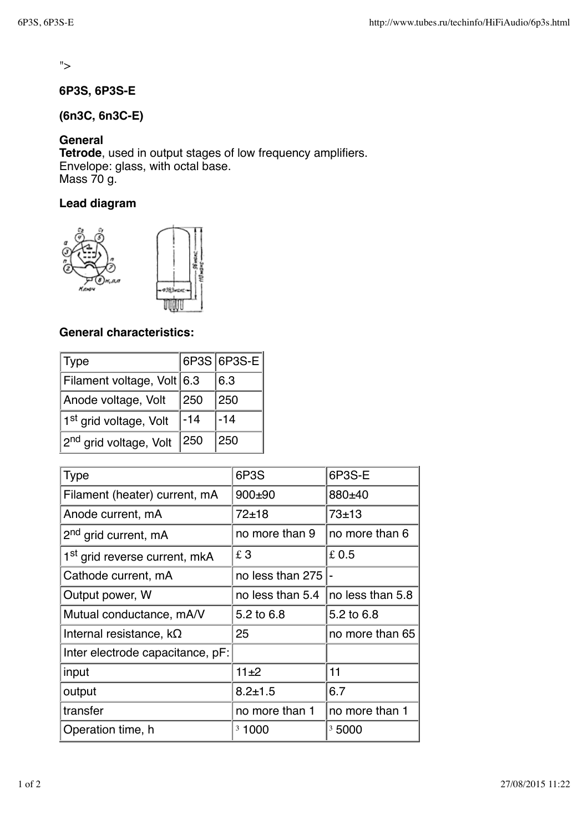">

#### **6P3S, 6P3S-E**

**(6n3C, 6n3C-E)**

#### **General**

**Tetrode**, used in output stages of low frequency amplifiers. Envelope: glass, with octal base. Mass 70 g.

## **Lead diagram**



#### **General characteristics:**

| Type                               |     | 6P3S 6P3S-E |
|------------------------------------|-----|-------------|
| Filament voltage, Volt 6.3         |     | 6.3         |
| Anode voltage, Volt                | 250 | 250         |
| 1 <sup>st</sup> grid voltage, Volt | -14 | $-14$       |
| 2 <sup>nd</sup> grid voltage, Volt | 250 | 250         |

| <b>Type</b>                               | 6P3S             | 6P3S-E            |  |
|-------------------------------------------|------------------|-------------------|--|
| Filament (heater) current, mA             | $900+90$         | 880±40            |  |
| Anode current, mA                         | $72 + 18$        | $73 + 13$         |  |
| 2 <sup>nd</sup> grid current, mA          | no more than 9   | no more than 6    |  |
| 1 <sup>st</sup> grid reverse current, mkA | £3               | £0.5              |  |
| Cathode current, mA                       | no less than 275 |                   |  |
| Output power, W                           | no less than 5.4 | no less than 5.8  |  |
| Mutual conductance, mA/V                  | 5.2 to 6.8       | 5.2 to 6.8        |  |
| Internal resistance, $k\Omega$            | 25               | no more than 65   |  |
| Inter electrode capacitance, pF:          |                  |                   |  |
| input                                     | 11±2             | 11                |  |
| output                                    | $8.2 \pm 1.5$    | 6.7               |  |
| transfer                                  | no more than 1   | no more than 1    |  |
| Operation time, h                         | 31000            | <sup>3</sup> 5000 |  |